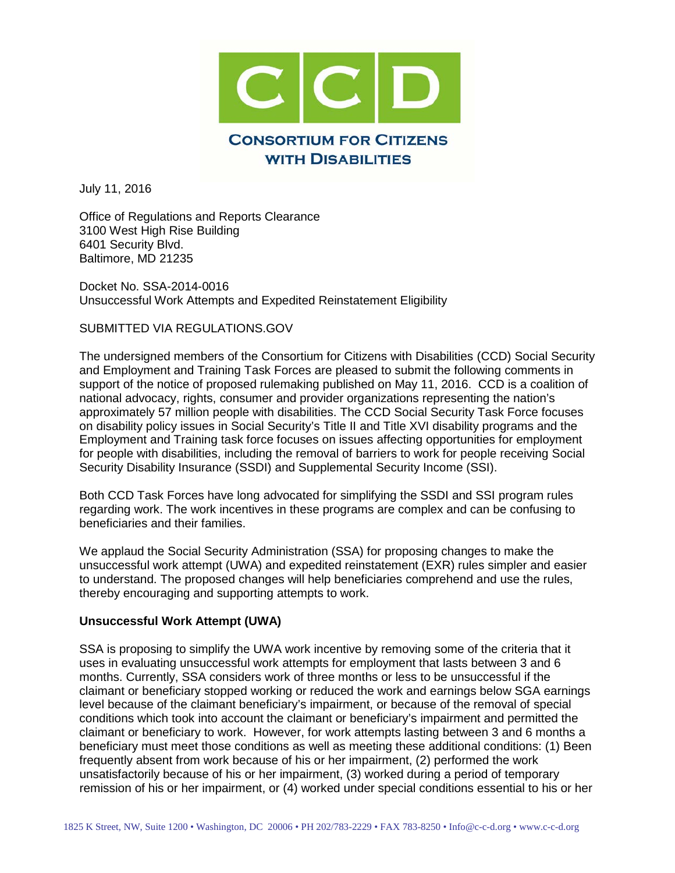

July 11, 2016

Office of Regulations and Reports Clearance 3100 West High Rise Building 6401 Security Blvd. Baltimore, MD 21235

Docket No. SSA-2014-0016 Unsuccessful Work Attempts and Expedited Reinstatement Eligibility

SUBMITTED VIA REGULATIONS.GOV

The undersigned members of the Consortium for Citizens with Disabilities (CCD) Social Security and Employment and Training Task Forces are pleased to submit the following comments in support of the notice of proposed rulemaking published on May 11, 2016. CCD is a coalition of national advocacy, rights, consumer and provider organizations representing the nation's approximately 57 million people with disabilities. The CCD Social Security Task Force focuses on disability policy issues in Social Security's Title II and Title XVI disability programs and the Employment and Training task force focuses on issues affecting opportunities for employment for people with disabilities, including the removal of barriers to work for people receiving Social Security Disability Insurance (SSDI) and Supplemental Security Income (SSI).

Both CCD Task Forces have long advocated for simplifying the SSDI and SSI program rules regarding work. The work incentives in these programs are complex and can be confusing to beneficiaries and their families.

We applaud the Social Security Administration (SSA) for proposing changes to make the unsuccessful work attempt (UWA) and expedited reinstatement (EXR) rules simpler and easier to understand. The proposed changes will help beneficiaries comprehend and use the rules, thereby encouraging and supporting attempts to work.

## **Unsuccessful Work Attempt (UWA)**

SSA is proposing to simplify the UWA work incentive by removing some of the criteria that it uses in evaluating unsuccessful work attempts for employment that lasts between 3 and 6 months. Currently, SSA considers work of three months or less to be unsuccessful if the claimant or beneficiary stopped working or reduced the work and earnings below SGA earnings level because of the claimant beneficiary's impairment, or because of the removal of special conditions which took into account the claimant or beneficiary's impairment and permitted the claimant or beneficiary to work. However, for work attempts lasting between 3 and 6 months a beneficiary must meet those conditions as well as meeting these additional conditions: (1) Been frequently absent from work because of his or her impairment, (2) performed the work unsatisfactorily because of his or her impairment, (3) worked during a period of temporary remission of his or her impairment, or (4) worked under special conditions essential to his or her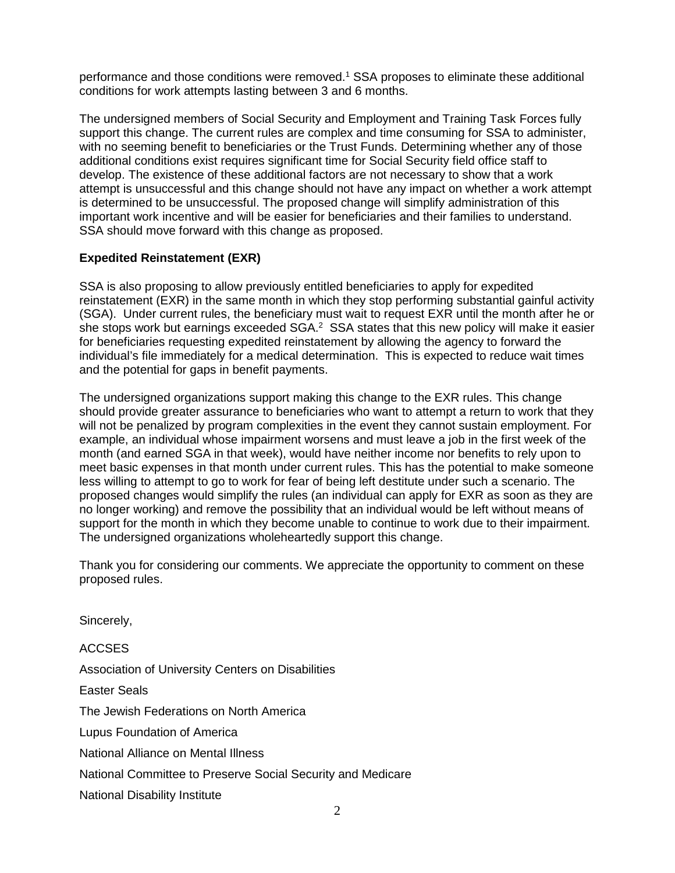performance and those conditions were removed. <sup>1</sup> SSA proposes to eliminate these additional conditions for work attempts lasting between 3 and 6 months.

The undersigned members of Social Security and Employment and Training Task Forces fully support this change. The current rules are complex and time consuming for SSA to administer, with no seeming benefit to beneficiaries or the Trust Funds. Determining whether any of those additional conditions exist requires significant time for Social Security field office staff to develop. The existence of these additional factors are not necessary to show that a work attempt is unsuccessful and this change should not have any impact on whether a work attempt is determined to be unsuccessful. The proposed change will simplify administration of this important work incentive and will be easier for beneficiaries and their families to understand. SSA should move forward with this change as proposed.

## **Expedited Reinstatement (EXR)**

SSA is also proposing to allow previously entitled beneficiaries to apply for expedited reinstatement (EXR) in the same month in which they stop performing substantial gainful activity (SGA). Under current rules, the beneficiary must wait to request EXR until the month after he or she stops work but earnings exceeded  $SGA$ <sup>2</sup> SSA states that this new policy will make it easier for beneficiaries requesting expedited reinstatement by allowing the agency to forward the individual's file immediately for a medical determination. This is expected to reduce wait times and the potential for gaps in benefit payments.

The undersigned organizations support making this change to the EXR rules. This change should provide greater assurance to beneficiaries who want to attempt a return to work that they will not be penalized by program complexities in the event they cannot sustain employment. For example, an individual whose impairment worsens and must leave a job in the first week of the month (and earned SGA in that week), would have neither income nor benefits to rely upon to meet basic expenses in that month under current rules. This has the potential to make someone less willing to attempt to go to work for fear of being left destitute under such a scenario. The proposed changes would simplify the rules (an individual can apply for EXR as soon as they are no longer working) and remove the possibility that an individual would be left without means of support for the month in which they become unable to continue to work due to their impairment. The undersigned organizations wholeheartedly support this change.

Thank you for considering our comments. We appreciate the opportunity to comment on these proposed rules.

Sincerely,

ACCSES Association of University Centers on Disabilities Easter Seals The Jewish Federations on North America Lupus Foundation of America National Alliance on Mental Illness National Committee to Preserve Social Security and Medicare National Disability Institute